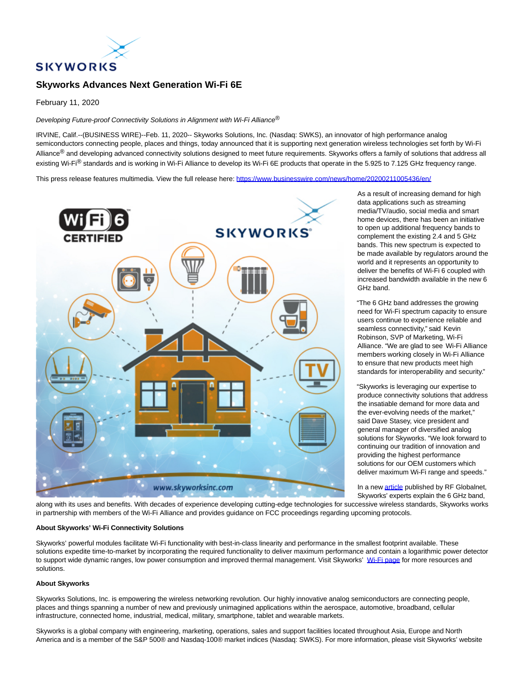

## **Skyworks Advances Next Generation Wi-Fi 6E**

February 11, 2020

Developing Future-proof Connectivity Solutions in Alignment with Wi-Fi Alliance<sup>®</sup>

IRVINE, Calif.--(BUSINESS WIRE)--Feb. 11, 2020-- Skyworks Solutions, Inc. (Nasdaq: SWKS), an innovator of high performance analog semiconductors connecting people, places and things, today announced that it is supporting next generation wireless technologies set forth by Wi-Fi Alliance<sup>®</sup> and developing advanced connectivity solutions designed to meet future requirements. Skyworks offers a family of solutions that address all existing Wi-Fi<sup>®</sup> standards and is working in Wi-Fi Alliance to develop its Wi-Fi 6E products that operate in the 5.925 to 7.125 GHz frequency range.

This press release features multimedia. View the full release here:<https://www.businesswire.com/news/home/20200211005436/en/>



As a result of increasing demand for high data applications such as streaming media/TV/audio, social media and smart home devices, there has been an initiative to open up additional frequency bands to complement the existing 2.4 and 5 GHz bands. This new spectrum is expected to be made available by regulators around the world and it represents an opportunity to deliver the benefits of Wi-Fi 6 coupled with increased bandwidth available in the new 6 GHz band.

"The 6 GHz band addresses the growing need for Wi-Fi spectrum capacity to ensure users continue to experience reliable and seamless connectivity," said Kevin Robinson, SVP of Marketing, Wi-Fi Alliance. "We are glad to see Wi-Fi Alliance members working closely in Wi-Fi Alliance to ensure that new products meet high standards for interoperability and security."

"Skyworks is leveraging our expertise to produce connectivity solutions that address the insatiable demand for more data and the ever-evolving needs of the market," said Dave Stasey, vice president and general manager of diversified analog solutions for Skyworks. "We look forward to continuing our tradition of innovation and providing the highest performance solutions for our OEM customers which deliver maximum Wi-Fi range and speeds."

In a new [article p](https://cts.businesswire.com/ct/CT?id=smartlink&url=https%3A%2F%2Fwww.rfglobalnet.com%2Fdoc%2Fnext-generation-wi-fi-ghz-is-on-the-horizon-0001&esheet=52171750&newsitemid=20200211005436&lan=en-US&anchor=article&index=1&md5=a0ab6baecefa9134b7409337ce842793)ublished by RF Globalnet, Skyworks' experts explain the 6 GHz band,

along with its uses and benefits. With decades of experience developing cutting-edge technologies for successive wireless standards, Skyworks works in partnership with members of the Wi-Fi Alliance and provides guidance on FCC proceedings regarding upcoming protocols.

## **About Skyworks' Wi-Fi Connectivity Solutions**

Skyworks' powerful modules facilitate Wi-Fi functionality with best-in-class linearity and performance in the smallest footprint available. These solutions expedite time-to-market by incorporating the required functionality to deliver maximum performance and contain a logarithmic power detector to support wide dynamic ranges, low power consumption and improved thermal management. Visit Skyworks' [Wi-Fi page f](https://cts.businesswire.com/ct/CT?id=smartlink&url=https%3A%2F%2Fwww.skyworksinc.com%2Fen%2FSystem-Solutions%2FWi-Fi-Connectivity%3Fsource%3Dpr&esheet=52171750&newsitemid=20200211005436&lan=en-US&anchor=Wi-Fi+page&index=2&md5=0cb3eaa7f76df3edc08ff24f29d3e07f)or more resources and solutions.

## **About Skyworks**

Skyworks Solutions, Inc. is empowering the wireless networking revolution. Our highly innovative analog semiconductors are connecting people, places and things spanning a number of new and previously unimagined applications within the aerospace, automotive, broadband, cellular infrastructure, connected home, industrial, medical, military, smartphone, tablet and wearable markets.

Skyworks is a global company with engineering, marketing, operations, sales and support facilities located throughout Asia, Europe and North America and is a member of the S&P 500® and Nasdaq-100® market indices (Nasdaq: SWKS). For more information, please visit Skyworks' website